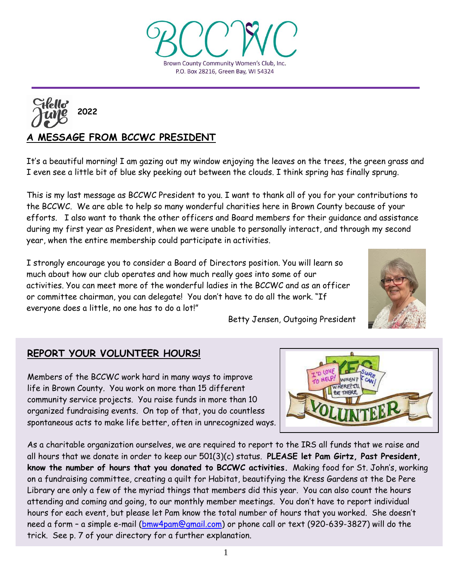As a charitable organization ourselves, we are required to report to the IRS all funds that we raise and all hours that we donate in order to keep our 501(3)(c) status. **PLEASE let Pam Girtz, Past President, know the number of hours that you donated to BCCWC activities.** Making food for St. John's, working on a fundraising committee, creating a quilt for Habitat, beautifying the Kress Gardens at the De Pere Library are only a few of the myriad things that members did this year. You can also count the hours attending and coming and going, to our monthly member meetings. You don't have to report individual hours for each event, but please let Pam know the total number of hours that you worked. She doesn't need a form – a simple e-mail [\(bmw4pam@gmail.com\)](mailto:bmw4pam@gmail.com) or phone call or text (920-639-3827) will do the

life in Brown County. You work on more than 15 different community service projects. You raise funds in more than 10

organized fundraising events. On top of that, you do countless spontaneous acts to make life better, often in unrecognized ways.

Members of the BCCWC work hard in many ways to improve

year, when the entire membership could participate in activities.

# **REPORT YOUR VOLUNTEER HOURS!**

**A MESSAGE FROM BCCWC PRESIDENT**

It's a beautiful morning! I am gazing out my window enjoying the leaves on the trees, the green grass and I even see a little bit of blue sky peeking out between the clouds. I think spring has finally sprung.

This is my last message as BCCWC President to you. I want to thank all of you for your contributions to efforts. I also want to thank the other officers and Board members for their guidance and assistance during my first year as President, when we were unable to personally interact, and through my second

the BCCWC. We are able to help so many wonderful charities here in Brown County because of your

activities. You can meet more of the wonderful ladies in the BCCWC and as an officer or committee chairman, you can delegate! You don't have to do all the work. "If everyone does a little, no one has to do a lot!" Betty Jensen, Outgoing President

I strongly encourage you to consider a Board of Directors position. You will learn so

much about how our club operates and how much really goes into some of our





# Brown County Community Women's Club, Inc. P.O. Box 28216, Green Bay, WI 54324

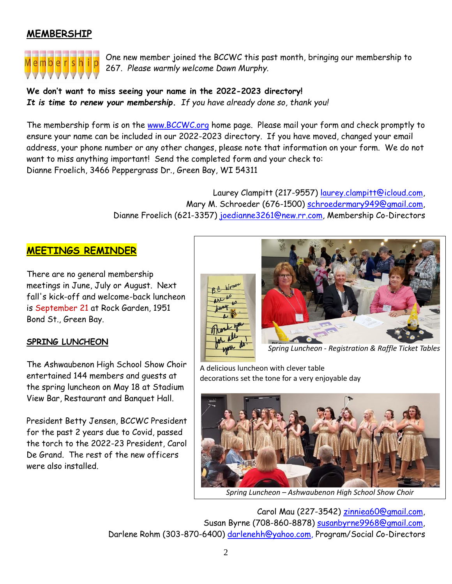# **MEMBERSHIP**



One new member joined the BCCWC this past month, bringing our membership to 267. *Please warmly welcome Dawn Murphy.*

**We don't want to miss seeing your name in the 2022-2023 directory!** *It is time to renew your membership. If you have already done so, thank you!*

The membership form is on the [www.BCCWC.org](http://www.bccwc.org/) home page. Please mail your form and check promptly to ensure your name can be included in our 2022-2023 directory. If you have moved, changed your email address, your phone number or any other changes, please note that information on your form. We do not want to miss anything important! Send the completed form and your check to: Dianne Froelich, 3466 Peppergrass Dr., Green Bay, WI 54311

> Laurey Clampitt (217-9557) [laurey.clampitt@icloud.com,](mailto:laurey.clampitt@icloud.com) Mary M. Schroeder (676-1500) [schroedermary949@gmail.com,](mailto:schroedermary949@gmail.com) Dianne Froelich (621-3357) [joedianne3261@new.rr.com,](mailto:joedianne3261@new.rr.com) Membership Co-Directors

# **MEETINGS REMINDER**

There are no general membership meetings in June, July or August. Next fall's kick-off and welcome-back luncheon is September 21 at Rock Garden, 1951 Bond St., Green Bay.

### **SPRING LUNCHEON**

The Ashwaubenon High School Show Choir entertained 144 members and guests at the spring luncheon on May 18 at Stadium View Bar, Restaurant and Banquet Hall.

President Betty Jensen, BCCWC President for the past 2 years due to Covid, passed the torch to the 2022-23 President, Carol De Grand. The rest of the new officers were also installed.



 *Spring Luncheon - Registration & Raffle Ticket Tables*

A delicious luncheon with clever table decorations set the tone for a very enjoyable day



Carol Mau (227-3542) [zinniea60@gmail.com,](mailto:zinniea60@gmail.com) Susan Byrne (708-860-8878) [susanbyrne9968@gmail.com,](mailto:susanbyrne9968@gmail.com) Darlene Rohm (303-870-6400) [darlenehh@yahoo.com,](mailto:darlenehh@yahoo.com) Program/Social Co-Directors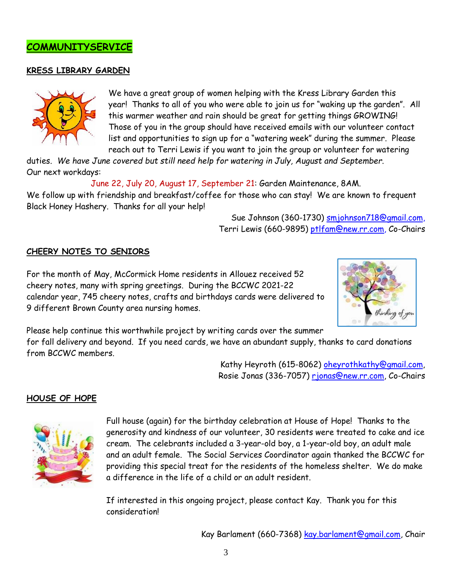

#### **KRESS LIBRARY GARDEN**



We have a great group of women helping with the Kress Library Garden this year! Thanks to all of you who were able to join us for "waking up the garden". All this warmer weather and rain should be great for getting things GROWING! Those of you in the group should have received emails with our volunteer contact list and opportunities to sign up for a "watering week" during the summer. Please reach out to Terri Lewis if you want to join the group or volunteer for watering

duties. *We have June covered but still need help for watering in July, August and September*. Our next workdays:

June 22, July 20, August 17, September 21: Garden Maintenance, 8AM.

We follow up with friendship and breakfast/coffee for those who can stay! We are known to frequent Black Honey Hashery. Thanks for all your help!

> Sue Johnson (360-1730) [smjohnson718@gmail.com,](mailto:smjohnson718@gmail.com) Terri Lewis (660-9895) [ptlfam@new.rr.com,](mailto:ptlfam@new.rr.com) Co-Chairs

#### **CHEERY NOTES TO SENIORS**

For the month of May, McCormick Home residents in Allouez received 52 cheery notes, many with spring greetings. During the BCCWC 2021-22 calendar year, 745 cheery notes, crafts and birthdays cards were delivered to 9 different Brown County area nursing homes.



Please help continue this worthwhile project by writing cards over the summer for fall delivery and beyond. If you need cards, we have an abundant supply, thanks to card donations from BCCWC members.

> Kathy Heyroth (615-8062) [oheyrothkathy@gmail.com,](mailto:oheyrothkathy@gmail.com) Rosie Jonas (336-7057) [rjonas@new.rr.com,](mailto:rjonas@new.rr.com) Co-Chairs

#### **HOUSE OF HOPE**



Full house (again) for the birthday celebration at House of Hope! Thanks to the generosity and kindness of our volunteer, 30 residents were treated to cake and ice cream. The celebrants included a 3-year-old boy, a 1-year-old boy, an adult male and an adult female. The Social Services Coordinator again thanked the BCCWC for providing this special treat for the residents of the homeless shelter. We do make a difference in the life of a child or an adult resident.

If interested in this ongoing project, please contact Kay. Thank you for this consideration!

Kay Barlament (660-7368) [kay.barlament@gmail.com,](mailto:kay.barlament@gmail.com) Chair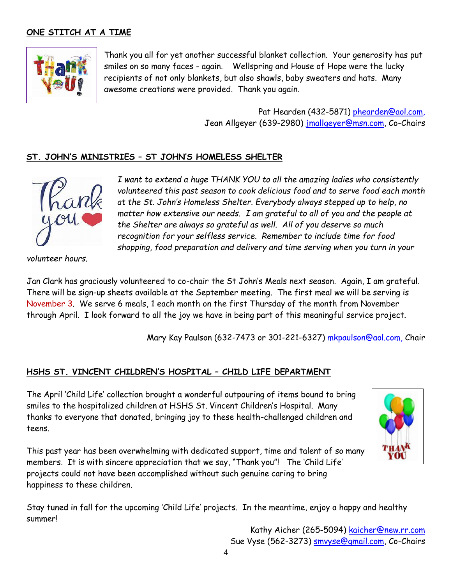# **ONE STITCH AT A TIME**



Thank you all for yet another successful blanket collection. Your generosity has put smiles on so many faces - again. Wellspring and House of Hope were the lucky recipients of not only blankets, but also shawls, baby sweaters and hats. Many awesome creations were provided. Thank you again.

> Pat Hearden (432-5871) [phearden@aol.com,](mailto:phearden@aol.com) Jean Allgeyer (639-2980) j<mark>mallgeyer@msn.com</mark>, Co-Chairs

#### **ST. JOHN'S MINISTRIES – ST JOHN'S HOMELESS SHELTER**



*I want to extend a huge THANK YOU to all the amazing ladies who consistently volunteered this past season to cook delicious food and to serve food each month at the St. John's Homeless Shelter. Everybody always stepped up to help, no matter how extensive our needs. I am grateful to all of you and the people at the Shelter are always so grateful as well. All of you deserve so much recognition for your selfless service. Remember to include time for food shopping, food preparation and delivery and time serving when you turn in your* 

*volunteer hours*.

Jan Clark has graciously volunteered to co-chair the St John's Meals next season. Again, I am grateful. There will be sign-up sheets available at the September meeting. The first meal we will be serving is November 3. We serve 6 meals, 1 each month on the first Thursday of the month from November through April. I look forward to all the joy we have in being part of this meaningful service project.

Mary Kay Paulson (632-7473 or 301-221-6327) [mkpaulson@aol.com,](mailto:mkpaulson@aol.com) Chair

### **HSHS ST. VINCENT CHILDREN'S HOSPITAL – CHILD LIFE DEPARTMENT**

The April 'Child Life' collection brought a wonderful outpouring of items bound to bring smiles to the hospitalized children at HSHS St. Vincent Children's Hospital. Many thanks to everyone that donated, bringing joy to these health-challenged children and teens.

This past year has been overwhelming with dedicated support, time and talent of so many members. It is with sincere appreciation that we say, "Thank you"! The 'Child Life' projects could not have been accomplished without such genuine caring to bring happiness to these children.



Stay tuned in fall for the upcoming 'Child Life' projects. In the meantime, enjoy a happy and healthy summer!

> Kathy Aicher (265-5094) [kaicher@new.rr.com](mailto:kaicher@new.rr.com) Sue Vyse (562-3273) **smvyse@gmail.com**, Co-Chairs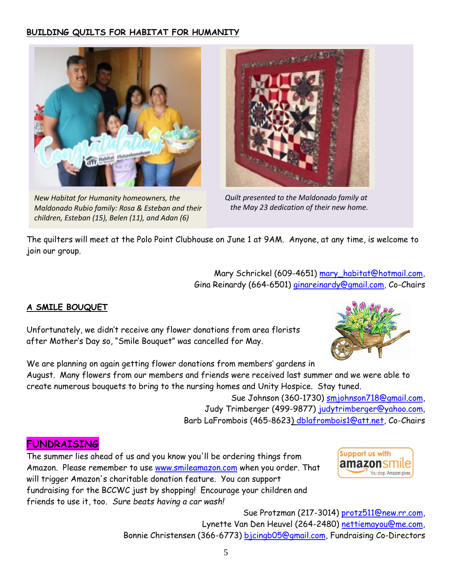# **BUILDING QUILTS FOR HABITAT FOR HUMANITY**



*New Habitat for Humanity homeowners, the Maldonado Rubio family: Rosa & Esteban and their children, Esteban (15), Belen (11), and Adan (6)*



 *Quilt presented to the Maldonado family at the May 23 dedication of their new home.*

The quilters will meet at the Polo Point Clubhouse on June 1 at 9AM. Anyone, at any time, is welcome to join our group.

> Mary Schrickel (609-4651) [mary\\_habitat@hotmail.com,](mailto:mary_habitat@hotmail.com) Gina Reinardy (664-6501) [ginareinardy@gmail.com, Co](mailto:ginareinardy@gmail.com,%20Co-Chairs)-Chairs

# **A SMILE BOUQUET**

Unfortunately, we didn't receive any flower donations from area florists after Mother's Day so, "Smile Bouquet" was cancelled for May.



We are planning on again getting flower donations from members' gardens in August. Many flowers from our members and friends were received last summer and we were able to create numerous bouquets to bring to the nursing homes and Unity Hospice. Stay tuned.

> Sue Johnson (360-1730) [smjohnson718@gmail.com,](mailto:smjohnson718@gmail.com) Judy Trimberger (499-9877) judytrimberger@yahoo.com, Barb LaFrombois (465-8623) [dblafrombois1@att.net,](mailto:dblafrombois1@att.net) Co-Chairs

# **FUNDRAISING**

The summer lies ahead of us and you know you'll be ordering things from Amazon. Please remember to use [www.smileamazon.com](http://www.smileamazon.com/) when you order. That will trigger Amazon's charitable donation feature. You can support fundraising for the BCCWC just by shopping! Encourage your children and friends to use it, too. *Sure beats having a car wash!*



Sue Protzman (217-3014) [protz511@new.rr.com,](mailto:protz511@new.rr.com) Lynette Van Den Heuvel (264-2480) [nettiemayou@me.com,](mailto:nettiemayou@me.com) Bonnie Christensen (366-6773) [bjcingb05@gmail.com,](mailto:bjcingb05@gmail.com) Fundraising Co-Directors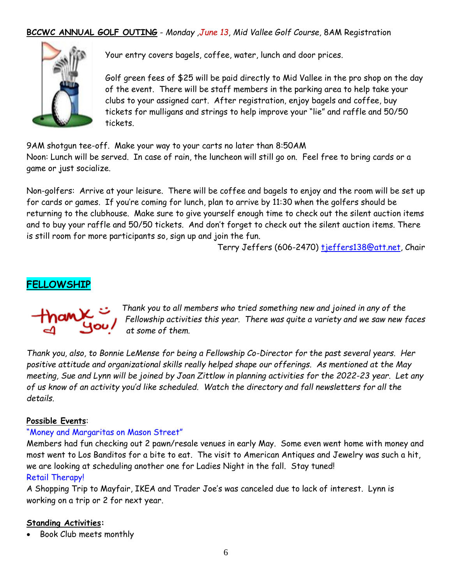# **BCCWC ANNUAL GOLF OUTING** - *Monday ,June 13, Mid Vallee Golf Course,* 8AM Registration



Your entry covers bagels, coffee, water, lunch and door prices.

Golf green fees of \$25 will be paid directly to Mid Vallee in the pro shop on the day of the event. There will be staff members in the parking area to help take your clubs to your assigned cart. After registration, enjoy bagels and coffee, buy tickets for mulligans and strings to help improve your "lie" and raffle and 50/50 tickets.

9AM shotgun tee-off. Make your way to your carts no later than 8:50AM Noon: Lunch will be served. In case of rain, the luncheon will still go on. Feel free to bring cards or a game or just socialize.

Non-golfers: Arrive at your leisure. There will be coffee and bagels to enjoy and the room will be set up for cards or games. If you're coming for lunch, plan to arrive by 11:30 when the golfers should be returning to the clubhouse. Make sure to give yourself enough time to check out the silent auction items and to buy your raffle and 50/50 tickets. And don't forget to check out the silent auction items. There is still room for more participants so, sign up and join the fun.

Terry Jeffers (606-2470) tieffers138@att.net, Chair

# **FELLOWSHIP**

*Thank you to all members who tried something new and joined in any of the Fellowship activities this year. There was quite a variety and we saw new faces at some of them.* 

*Thank you, also, to Bonnie LeMense for being a Fellowship Co-Director for the past several years. Her positive attitude and organizational skills really helped shape our offerings. As mentioned at the May meeting, Sue and Lynn will be joined by Joan Zittlow in planning activities for the 2022-23 year. Let any of us know of an activity you'd like scheduled. Watch the directory and fall newsletters for all the details.* 

### **Possible Events**:

#### "Money and Margaritas on Mason Street"

Members had fun checking out 2 pawn/resale venues in early May. Some even went home with money and most went to Los Banditos for a bite to eat. The visit to American Antiques and Jewelry was such a hit, we are looking at scheduling another one for Ladies Night in the fall. Stay tuned! Retail Therapy!

A Shopping Trip to Mayfair, IKEA and Trader Joe's was canceled due to lack of interest. Lynn is working on a trip or 2 for next year.

#### **Standing Activities:**

Book Club meets monthly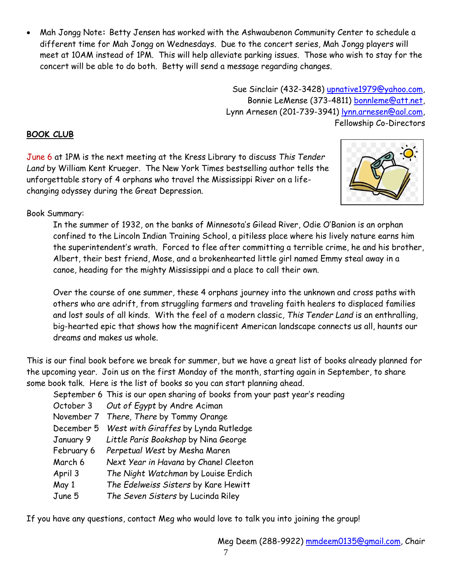Mah Jongg Note**:** Betty Jensen has worked with the Ashwaubenon Community Center to schedule a different time for Mah Jongg on Wednesdays. Due to the concert series, Mah Jongg players will meet at 10AM instead of 1PM. This will help alleviate parking issues. Those who wish to stay for the concert will be able to do both. Betty will send a message regarding changes.

> Sue Sinclair (432-3428) [upnative1979@yahoo.com,](mailto:upnative1979@yahoo.com) Bonnie LeMense (373-4811) [bonnleme@att.net,](mailto:bonnleme@att.net) Lynn Arnesen (201-739-3941) [lynn.arnesen@aol.com,](mailto:lynn.arnesen@aol.com) Fellowship Co-Directors

# **BOOK CLUB**

June 6 at 1PM is the next meeting at the Kress Library to discuss *This Tender Land* by William Kent Krueger. The New York Times bestselling author tells the unforgettable story of 4 orphans who travel the Mississippi River on a lifechanging odyssey during the Great Depression.



# Book Summary:

In the summer of 1932, on the banks of Minnesota's Gilead River, Odie O'Banion is an orphan confined to the Lincoln Indian Training School, a pitiless place where his lively nature earns him the superintendent's wrath. Forced to flee after committing a terrible crime, he and his brother, Albert, their best friend, Mose, and a brokenhearted little girl named Emmy steal away in a canoe, heading for the mighty Mississippi and a place to call their own.

Over the course of one summer, these 4 orphans journey into the unknown and cross paths with others who are adrift, from struggling farmers and traveling faith healers to displaced families and lost souls of all kinds. With the feel of a modern classic, *This Tender Land* is an enthralling, big-hearted epic that shows how the magnificent American landscape connects us all, haunts our dreams and makes us whole.

This is our final book before we break for summer, but we have a great list of books already planned for the upcoming year. Join us on the first Monday of the month, starting again in September, to share some book talk. Here is the list of books so you can start planning ahead.

September 6 This is our open sharing of books from your past year's reading

- October 3 *Out of Egypt* by Andre Aciman
- November 7 *There, There* by Tommy Orange
- December 5 *West with Giraffes* by Lynda Rutledge
- January 9 *Little Paris Bookshop* by Nina George
- February 6 *Perpetual West* by Mesha Maren
- March 6 *Next Year in Havana* by Chanel Cleeton
- April 3 *The Night Watchman* by Louise Erdich
- May 1 *The Edelweiss Sisters* by Kare Hewitt
- June 5 *The Seven Sisters* by Lucinda Riley

If you have any questions, contact Meg who would love to talk you into joining the group!